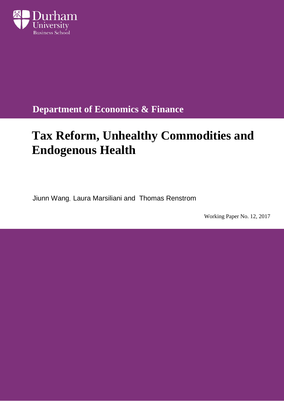

**Department of Economics & Finance**

# **Tax Reform, Unhealthy Commodities and Endogenous Health**

Jiunn Wang, Laura Marsiliani and Thomas Renstrom

Working Paper No. 12, 2017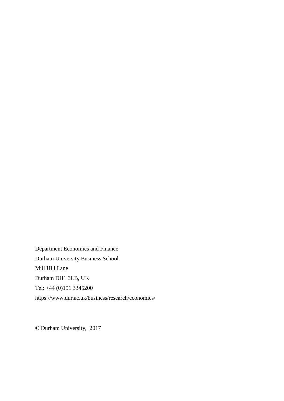Department Economics and Finance Durham University Business School Mill Hill Lane Durham DH1 3LB, UK Tel: +44 (0)191 3345200 https://www.dur.ac.uk/business/research/economics/

© Durham University, 2017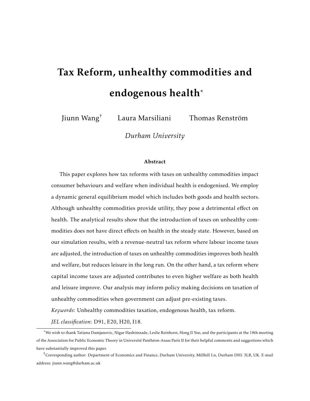# <span id="page-2-0"></span>Tax Reform, unhealthy commodities and endogenous health\*

Jiunn Wang<sup>†</sup> Laura Marsiliani Thomas Renström

*Durham University*

#### Abstract

This paper explores how tax reforms with taxes on unhealthy commodities impact consumer behaviours and welfare when individual health is endogenised. We employ a dynamic general equilibrium model which includes both goods and health sectors. Although unhealthy commodities provide utility, they pose a detrimental effect on health. The analytical results show that the introduction of taxes on unhealthy commodities does not have direct effects on health in the steady state. However, based on our simulation results, with a revenue-neutral tax reform where labour income taxes are adjusted, the introduction of taxes on unhealthy commodities improves both health and welfare, but reduces leisure in the long run. On the other hand, a tax reform where capital income taxes are adjusted contributes to even higher welfare as both health and leisure improve. Our analysis may inform policy making decisions on taxation of unhealthy commodities when government can adjust pre-existing taxes.

*Keywords*: Unhealthy commodities taxation, endogenous health, tax reform.

*JEL classification*: D91, E20, H20, I18.

<sup>\*</sup>We wish to thank Tatiana Damjanovic, Nigar Hashimzade, Leslie Reinhorn, Hong Il Yoo, and the participants at the 18th meeting of the Association for Public Economic Theory in Université Panthéon-Assas Paris II for their helpful comments and suggestions which have substantially improved this paper.

<sup>†</sup>Corresponding author: Department of Economics and Finance, Durham University, Millhill Ln, Durham DH1 3LB, UK. E-mail address: jiunn.wang@durham.ac.uk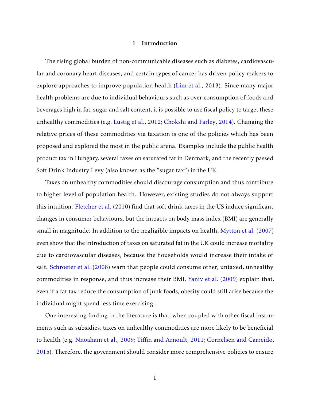#### 1 Introduction

The rising global burden of non-communicable diseases such as diabetes, cardiovascular and coronary heart diseases, and certain types of cancer has driven policy makers to explore approaches to improve population health [\(Lim et al.,](#page-36-2) 2013). Since many major health problems are due to individual behaviours such as over-consumption of foods and beverages high in fat, sugar and salt content, it is possible to use fiscal policy to target these unhealthy commodities (e.g. [Lustig et al.,](#page-36-0) 2012; [Chokshi and Farley,](#page-35-2) 2014). Changing the relative prices of these commodities via taxation is one of the policies which has been proposed and explored the most in the public arena. Examples include the public health product tax in Hungary, several taxes on saturated fat in Denmark, and the recently passed Soft Drink Industry Levy (also known as the "sugar tax") in the UK.

Taxes on unhealthy commodities should discourage consumption and thus contribute to higher level of population health. However, existing studies do not always support this intuition. [Fletcher et al.](#page-35-0) (2010) find that soft drink taxes in the US induce significant changes in consumer behaviours, but the impacts on body mass index (BMI) are generally small in magnitude. In addition to the negligible impacts on health, [Mytton et al.](#page-36-3) (2007) even show that the introduction of taxes on saturated fat in the UK could increase mortality due to cardiovascular diseases, because the households would increase their intake of salt. [Schroeter et al.](#page-37-0) (2008) warn that people could consume other, untaxed, unhealthy commodities in response, and thus increase their BMI. [Yaniv et al.](#page-37-1) (2009) explain that, even if a fat tax reduce the consumption of junk foods, obesity could still arise because the individual might spend less time exercising.

One interesting finding in the literature is that, when coupled with other fiscal instruments such as subsidies, taxes on unhealthy commodities are more likely to be beneficial to health (e.g. [Nnoaham et al.,](#page-36-1) 2009; Tiffi[n and Arnoult,](#page-37-2) 2011; [Cornelsen and Carreido,](#page-35-1) 2015). Therefore, the government should consider more comprehensive policies to ensure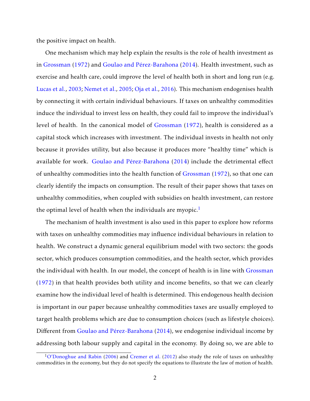the positive impact on health.

One mechanism which may help explain the results is the role of health investment as in [Grossman](#page-36-5)  $(1972)$  and Goulao and Pérez-Barahona  $(2014)$ . Health investment, such as exercise and health care, could improve the level of health both in short and long run (e.g. [Lucas et al.,](#page-36-6) 2003; [Nemet et al.,](#page-36-4) 2005; [Oja et al.,](#page-37-3) 2016). This mechanism endogenises health by connecting it with certain individual behaviours. If taxes on unhealthy commodities induce the individual to invest less on health, they could fail to improve the individual's level of health. In the canonical model of Grossman (1972), health is considered as a capital stock which increases with investment. The individual invests in health not only because it provides utility, but also because it produces more "healthy time" which is available for work. Goulao and Pérez-Barahona  $(2014)$  include the detrimental effect of unhealthy commodities into the health function of Grossman (1972), so that one can clearly identify the impacts on consumption. The result of their paper shows that taxes on unhealthy commodities, when coupled with subsidies on health investment, can restore the optimal level of health when the individuals are myopic.<sup>[1](#page-2-0)</sup>

The mechanism of health investment is also used in this paper to explore how reforms with taxes on unhealthy commodities may influence individual behaviours in relation to health. We construct a dynamic general equilibrium model with two sectors: the goods sector, which produces consumption commodities, and the health sector, which provides the individual with health. In our model, the concept of health is in line with Grossman (1972) in that health provides both utility and income benefits, so that we can clearly examine how the individual level of health is determined. This endogenous health decision is important in our paper because unhealthy commodities taxes are usually employed to target health problems which are due to consumption choices (such as lifestyle choices). Different from Goulao and Pérez-Barahona (2014), we endogenise individual income by addressing both labour supply and capital in the economy. By doing so, we are able to

 $1$ [O'Donoghue and Rabin](#page-37-4) (2006) and [Cremer et al.](#page-35-3) (2012) also study the role of taxes on unhealthy commodities in the economy, but they do not specify the equations to illustrate the law of motion of health.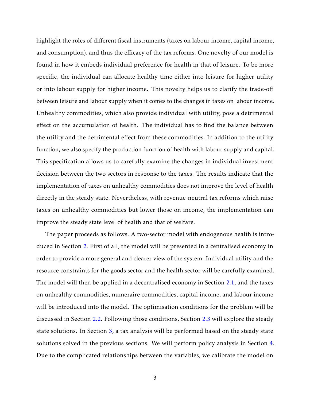highlight the roles of different fiscal instruments (taxes on labour income, capital income, and consumption), and thus the efficacy of the tax reforms. One novelty of our model is found in how it embeds individual preference for health in that of leisure. To be more specific, the individual can allocate healthy time either into leisure for higher utility or into labour supply for higher income. This novelty helps us to clarify the trade-off between leisure and labour supply when it comes to the changes in taxes on labour income. Unhealthy commodities, which also provide individual with utility, pose a detrimental effect on the accumulation of health. The individual has to find the balance between the utility and the detrimental effect from these commodities. In addition to the utility function, we also specify the production function of health with labour supply and capital. This specification allows us to carefully examine the changes in individual investment decision between the two sectors in response to the taxes. The results indicate that the implementation of taxes on unhealthy commodities does not improve the level of health directly in the steady state. Nevertheless, with revenue-neutral tax reforms which raise taxes on unhealthy commodities but lower those on income, the implementation can improve the steady state level of health and that of welfare.

The paper proceeds as follows. A two-sector model with endogenous health is introduced in Section [2.](#page-6-0) First of all, the model will be presented in a centralised economy in order to provide a more general and clearer view of the system. Individual utility and the resource constraints for the goods sector and the health sector will be carefully examined. The model will then be applied in a decentralised economy in Section [2.1,](#page-7-0) and the taxes on unhealthy commodities, numeraire commodities, capital income, and labour income will be introduced into the model. The optimisation conditions for the problem will be discussed in Section [2.2.](#page-8-0) Following those conditions, Section [2.3](#page-10-0) will explore the steady state solutions. In Section [3,](#page-15-0) a tax analysis will be performed based on the steady state solutions solved in the previous sections. We will perform policy analysis in Section [4.](#page-17-0) Due to the complicated relationships between the variables, we calibrate the model on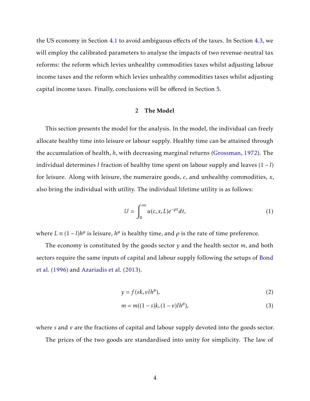the US economy in Section [4.1](#page-18-0) to avoid ambiguous effects of the taxes. In Section [4.3,](#page-23-0) we will employ the calibrated parameters to analyse the impacts of two revenue-neutral tax reforms: the reform which levies unhealthy commodities taxes whilst adjusting labour income taxes and the reform which levies unhealthy commodities taxes whilst adjusting capital income taxes. Finally, conclusions will be offered in Section [5.](#page-30-0)

#### 2 The Model

<span id="page-6-0"></span>This section presents the model for the analysis. In the model, the individual can freely allocate healthy time into leisure or labour supply. Healthy time can be attained through the accumulation of health, *h*, with decreasing marginal returns (Grossman, 1972). The individual determines *l* fraction of healthy time spent on labour supply and leaves (1 − *l*) for leisure. Along with leisure, the numeraire goods, *c*, and unhealthy commodities, *x*, also bring the individual with utility. The individual lifetime utility is as follows:

<span id="page-6-1"></span>
$$
U = \int_0^\infty u(c, x, L)e^{-\rho t}dt,\tag{1}
$$

where  $L = (1 - l)h^{\mu}$  is leisure,  $h^{\mu}$  is healthy time, and  $\rho$  is the rate of time preference.

The economy is constituted by the goods sector *y* and the health sector *m*, and both sectors require the same inputs of capital and labour supply following the setups of [Bond](#page-35-5) et al. (1996) and [Azariadis et al.](#page-35-6) (2013).

<span id="page-6-3"></span>
$$
y = f(sk, vlh^{\mu}), \tag{2}
$$

<span id="page-6-2"></span>
$$
m = m((1 - s)k, (1 - v)l h^{\mu}),
$$
\n(3)

where *s* and *v* are the fractions of capital and labour supply devoted into the goods sector.

The prices of the two goods are standardised into unity for simplicity. The law of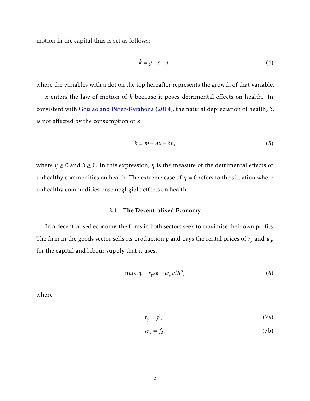motion in the capital thus is set as follows:

<span id="page-7-1"></span>
$$
\dot{k} = y - c - x,\tag{4}
$$

where the variables with a dot on the top hereafter represents the growth of that variable.

*x* enters the law of motion of *h* because it poses detrimental effects on health. In consistent with Goulao and Pérez-Barahona  $(2014)$ , the natural depreciation of health,  $\delta$ , is not affected by the consumption of *x*:

<span id="page-7-2"></span>
$$
\dot{h} = m - \eta x - \delta h,\tag{5}
$$

<span id="page-7-0"></span>where  $\eta \ge 0$  and  $\delta \ge 0$ . In this expression,  $\eta$  is the measure of the detrimental effects of unhealthy commodities on health. The extreme case of  $\eta = 0$  refers to the situation where unhealthy commodities pose negligible effects on health.

#### 2.1 The Decentralised Economy

In a decentralised economy, the firms in both sectors seek to maximise their own profits. The firm in the goods sector sells its production *y* and pays the rental prices of  $r_y$  and  $w_y$ for the capital and labour supply that it uses.

$$
\max. \ y - r_y sk - w_y vl h^{\mu}, \tag{6}
$$

where

<span id="page-7-3"></span>
$$
r_y = f_1,\tag{7a}
$$

<span id="page-7-4"></span>
$$
w_y = f_2. \tag{7b}
$$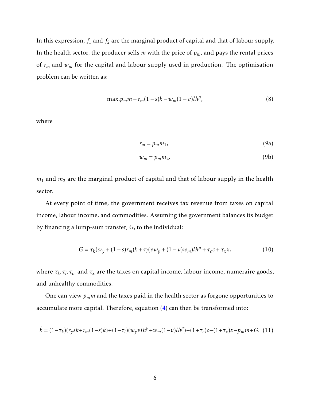In this expression,  $f_1$  and  $f_2$  are the marginal product of capital and that of labour supply. In the health sector, the producer sells *m* with the price of *pm*, and pays the rental prices of  $r_m$  and  $w_m$  for the capital and labour supply used in production. The optimisation problem can be written as:

$$
\max p_m m - r_m (1 - s)k - w_m (1 - v)l h^{\mu}, \tag{8}
$$

where

<span id="page-8-2"></span>
$$
r_m = p_m m_1,\tag{9a}
$$

<span id="page-8-3"></span>
$$
w_m = p_m m_2. \tag{9b}
$$

*m*<sup>1</sup> and *m*<sup>2</sup> are the marginal product of capital and that of labour supply in the health sector.

At every point of time, the government receives tax revenue from taxes on capital income, labour income, and commodities. Assuming the government balances its budget by financing a lump-sum transfer, *G*, to the individual:

<span id="page-8-4"></span>
$$
G = \tau_k (s r_y + (1 - s) r_m) k + \tau_l (v w_y + (1 - v) w_m) l h^{\mu} + \tau_c c + \tau_x x, \qquad (10)
$$

where  $\tau_k$ ,  $\tau_l$ ,  $\tau_c$ , and  $\tau_x$  are the taxes on capital income, labour income, numeraire goods, and unhealthy commodities.

One can view *pmm* and the taxes paid in the health sector as forgone opportunities to accumulate more capital. Therefore, equation [\(4\)](#page-7-1) can then be transformed into:

<span id="page-8-1"></span><span id="page-8-0"></span>
$$
\dot{k} = (1 - \tau_k)(r_y s k + r_m(1 - s) k) + (1 - \tau_l)(w_y v l h^{\mu} + w_m(1 - v) l h^{\mu}) - (1 + \tau_c) c - (1 + \tau_x) x - p_m m + G.
$$
 (11)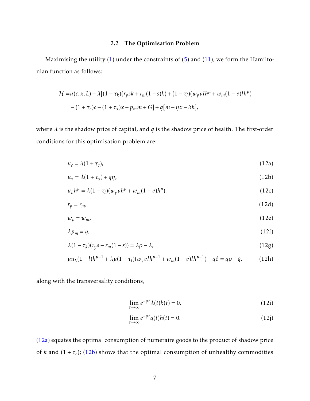## <span id="page-9-0"></span>2.2 The Optimisation Problem

Maximising the utility  $(1)$  under the constraints of  $(5)$  and  $(11)$ , we form the Hamiltonian function as follows:

$$
\mathcal{H} = u(c, x, L) + \lambda [(1 - \tau_k)(r_y sk + r_m(1 - s)k) + (1 - \tau_l)(w_y vl h^{\mu} + w_m(1 - v)l h^{\mu})
$$
  
-(1 + \tau\_c)c - (1 + \tau\_x)x - p\_m m + G] + q[m - \eta x - \delta h],

where *λ* is the shadow price of capital, and *q* is the shadow price of health. The first-order conditions for this optimisation problem are:

$$
u_c = \lambda (1 + \tau_c), \tag{12a}
$$

$$
u_x = \lambda (1 + \tau_x) + q\eta, \tag{12b}
$$

$$
u_L h^{\mu} = \lambda (1 - \tau_l) (w_y v h^{\mu} + w_m (1 - v) h^{\mu}), \qquad (12c)
$$

$$
r_y = r_m,\tag{12d}
$$

$$
w_y = w_m,\tag{12e}
$$

$$
\lambda p_m = q,\tag{12f}
$$

$$
\lambda(1 - \tau_k)(r_{\mathcal{Y}}s + r_m(1 - s)) = \lambda \rho - \lambda,\tag{12g}
$$

$$
\mu u_L (1 - l) h^{\mu - 1} + \lambda \mu (1 - \tau_l) (w_y v l h^{\mu - 1} + w_m (1 - v) l h^{\mu - 1}) - q \delta = q \rho - \dot{q}, \qquad (12h)
$$

along with the transversality conditions,

<span id="page-9-9"></span><span id="page-9-8"></span><span id="page-9-7"></span><span id="page-9-6"></span><span id="page-9-5"></span><span id="page-9-4"></span><span id="page-9-3"></span><span id="page-9-2"></span><span id="page-9-1"></span>
$$
\lim_{t \to \infty} e^{-\rho t} \lambda(t) k(t) = 0,
$$
\n(12i)

$$
\lim_{t \to \infty} e^{-\rho t} q(t) h(t) = 0. \tag{12}
$$

[\(12a\)](#page-9-0) equates the optimal consumption of numeraire goods to the product of shadow price of *k* and (1 + *τ<sup>c</sup>* ); [\(12b\)](#page-9-1) shows that the optimal consumption of unhealthy commodities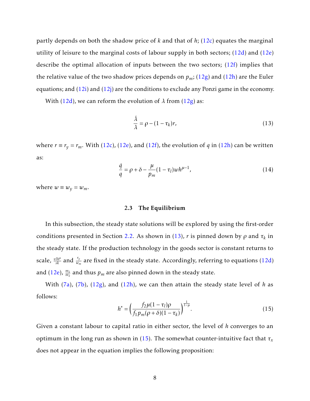partly depends on both the shadow price of *k* and that of *h*; [\(12c\)](#page-9-9) equates the marginal utility of leisure to the marginal costs of labour supply in both sectors;  $(12d)$  and  $(12e)$ describe the optimal allocation of inputs between the two sectors; [\(12f\)](#page-9-8) implies that the relative value of the two shadow prices depends on  $p_m$ ; [\(12g\)](#page-9-6) and [\(12h\)](#page-9-2) are the Euler equations; and  $(12i)$  and  $(12j)$  are the conditions to exclude any Ponzi game in the economy.

With (12d), we can reform the evolution of  $\lambda$  from (12g) as:

<span id="page-10-1"></span>
$$
\frac{\dot{\lambda}}{\lambda} = \rho - (1 - \tau_k)r,\tag{13}
$$

where  $r \equiv r_y = r_m$ . With (12c), (12e), and (12f), the evolution of *q* in (12h) can be written as:

<span id="page-10-3"></span>
$$
\frac{\dot{q}}{q} = \rho + \delta - \frac{\mu}{p_m} (1 - \tau_l) w h^{\mu - 1},\tag{14}
$$

<span id="page-10-0"></span>where  $w \equiv w_v = w_m$ .

#### 2.3 The Equilibrium

In this subsection, the steady state solutions will be explored by using the first-order conditions presented in Section 2.2. As shown in [\(13\)](#page-10-1),  $r$  is pinned down by  $\rho$  and  $\tau_k$  in the steady state. If the production technology in the goods sector is constant returns to scale,  $\frac{vlh^\mu}{sk}$  and  $\frac{r_y}{w_m}$  are fixed in the steady state. Accordingly, referring to equations (12d) and (12e),  $\frac{m_1}{m_2}$  and thus  $p_m$  are also pinned down in the steady state.

With [\(7a\)](#page-7-3), [\(7b\)](#page-7-4), (12g), and (12h), we can then attain the steady state level of *h* as follows:

<span id="page-10-2"></span>
$$
h^* = \left(\frac{f_2\mu(1-\tau_l)\rho}{f_1p_m(\rho+\delta)(1-\tau_k)}\right)^{\frac{1}{1-\mu}}.\tag{15}
$$

Given a constant labour to capital ratio in either sector, the level of *h* converges to an optimum in the long run as shown in [\(15\)](#page-10-2). The somewhat counter-intuitive fact that  $\tau_x$ does not appear in the equation implies the following proposition: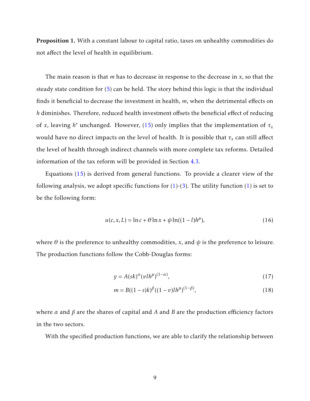Proposition 1. With a constant labour to capital ratio, taxes on unhealthy commodities do not affect the level of health in equilibrium.

The main reason is that *m* has to decrease in response to the decrease in *x*, so that the steady state condition for (5) can be held. The story behind this logic is that the individual finds it beneficial to decrease the investment in health, *m*, when the detrimental effects on *h* diminishes. Therefore, reduced health investment offsets the beneficial effect of reducing of *x*, leaving  $h^*$  unchanged. However, (15) only implies that the implementation of  $\tau_x$ would have no direct impacts on the level of health. It is possible that *τ<sup>x</sup>* can still affect the level of health through indirect channels with more complete tax reforms. Detailed information of the tax reform will be provided in Section 4.3.

Equations (15) is derived from general functions. To provide a clearer view of the following analysis, we adopt specific functions for  $(1)-(3)$  $(1)-(3)$ . The utility function  $(1)$  is set to be the following form:

<span id="page-11-2"></span>
$$
u(c, x, L) = \ln c + \theta \ln x + \psi \ln((1 - l)h^{\mu}), \qquad (16)
$$

where  $\theta$  is the preference to unhealthy commodities, *x*, and  $\psi$  is the preference to leisure. The production functions follow the Cobb-Douglas forms:

<span id="page-11-1"></span><span id="page-11-0"></span>
$$
y = A(sk)^{\alpha} (vlh^{\mu})^{(1-\alpha)}, \qquad (17)
$$

$$
m = B((1 - s)k)^{\beta}((1 - v)lh^{\mu})^{(1 - \beta)},
$$
\n(18)

where *α* and *β* are the shares of capital and *A* and *B* are the production efficiency factors in the two sectors.

With the specified production functions, we are able to clarify the relationship between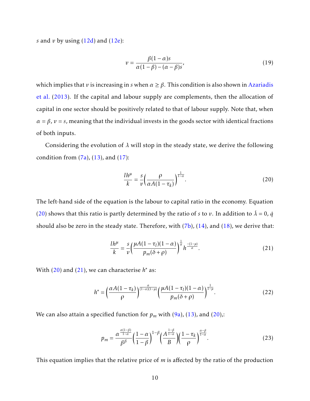*s* and *v* by using (12d) and (12e):

<span id="page-12-4"></span>
$$
v = \frac{\beta(1-\alpha)s}{\alpha(1-\beta) - (\alpha-\beta)s},\tag{19}
$$

which implies that *v* is increasing in *s* when  $\alpha \geq \beta$ . This condition is also shown in Azariadis et al. (2013). If the capital and labour supply are complements, then the allocation of capital in one sector should be positively related to that of labour supply. Note that, when  $\alpha = \beta$ ,  $\nu = s$ , meaning that the individual invests in the goods sector with identical fractions of both inputs.

Considering the evolution of *λ* will stop in the steady state, we derive the following condition from  $(7a)$ ,  $(13)$ , and  $(17)$ :

<span id="page-12-1"></span>
$$
\frac{lh^{\mu}}{k} = \frac{s}{\nu} \left( \frac{\rho}{\alpha A (1 - \tau_k)} \right)^{\frac{1}{1 - \alpha}}.
$$
\n(20)

The left-hand side of the equation is the labour to capital ratio in the economy. Equation [\(20\)](#page-12-1) shows that this ratio is partly determined by the ratio of *s* to *v*. In addition to  $\lambda = 0$ , *q* should also be zero in the steady state. Therefore, with  $(7b)$ ,  $(14)$ , and  $(18)$ , we derive that:

<span id="page-12-0"></span>
$$
\frac{lh^{\mu}}{k} = \frac{s}{\nu} \left( \frac{\mu A (1 - \tau_l)(1 - \alpha)}{p_m(\delta + \rho)} \right)^{\frac{1}{\alpha}} h^{\frac{-(1 - \mu)}{\alpha}}.
$$
\n(21)

With  $(20)$  and  $(21)$ , we can characterise  $h^*$  as:

<span id="page-12-3"></span>
$$
h^* = \left(\frac{\alpha A (1 - \tau_k)}{\rho}\right)^{\frac{\alpha}{(1 - \alpha)(1 - \mu)}} \left(\frac{\mu A (1 - \tau_l)(1 - \alpha)}{p_m(\delta + \rho)}\right)^{\frac{1}{1 - \mu}}.\tag{22}
$$

We can also attain a specified function for  $p_m$  with [\(9a\)](#page-8-2), (13), and (20),:

<span id="page-12-2"></span>
$$
p_m = \frac{\alpha^{\frac{\alpha(1-\beta)}{1-\alpha}}}{\beta^{\beta}} \left(\frac{1-\alpha}{1-\beta}\right)^{1-\beta} \left(\frac{A^{\frac{1-\beta}{1-\alpha}}}{B}\right) \left(\frac{1-\tau_k}{\rho}\right)^{\frac{\alpha-\beta}{1-\alpha}}.
$$
(23)

This equation implies that the relative price of *m* is affected by the ratio of the production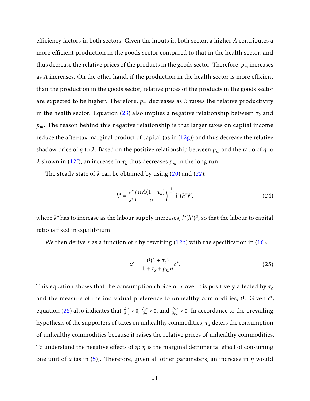efficiency factors in both sectors. Given the inputs in both sector, a higher *A* contributes a more efficient production in the goods sector compared to that in the health sector, and thus decrease the relative prices of the products in the goods sector. Therefore, *p<sup>m</sup>* increases as *A* increases. On the other hand, if the production in the health sector is more efficient than the production in the goods sector, relative prices of the products in the goods sector are expected to be higher. Therefore, *p<sup>m</sup>* decreases as *B* raises the relative productivity in the health sector. Equation [\(23\)](#page-12-2) also implies a negative relationship between  $\tau_k$  and *pm*. The reason behind this negative relationship is that larger taxes on capital income reduce the after-tax marginal product of capital (as in  $(12g)$ ) and thus decrease the relative shadow price of *q* to  $\lambda$ . Based on the positive relationship between  $p_m$  and the ratio of *q* to *λ* shown in (12f), an increase in *τ<sup>k</sup>* thus decreases *p<sup>m</sup>* in the long run.

The steady state of *k* can be obtained by using (20) and [\(22\)](#page-12-3):

$$
k^* = \frac{v^*}{s^*} \left(\frac{\alpha A (1 - \tau_k)}{\rho}\right)^{\frac{1}{1 - \alpha}} l^*(h^*)^{\mu},\tag{24}
$$

where *k* <sup>∗</sup> has to increase as the labour supply increases, *l* ∗ (*h* ∗ ) *µ* , so that the labour to capital ratio is fixed in equilibrium.

We then derive *x* as a function of *c* by rewriting  $(12b)$  with the specification in  $(16)$ .

<span id="page-13-0"></span>
$$
x^* = \frac{\theta(1 + \tau_c)}{1 + \tau_x + p_m \eta} c^*.
$$
\n(25)

This equation shows that the consumption choice of *x* over *c* is positively affected by *τ<sup>c</sup>* and the measure of the individual preference to unhealthy commodities, *θ*. Given *c* ∗ , equation [\(25\)](#page-13-0) also indicates that *∂x*<sup>∗</sup> *∂τ<sup>x</sup> <* 0, *∂x*<sup>∗</sup> *∂η <sup>&</sup>lt;* <sup>0</sup>, and *∂x*<sup>∗</sup> *∂p<sup>m</sup> <* 0. In accordance to the prevailing hypothesis of the supporters of taxes on unhealthy commodities, *τ<sup>x</sup>* deters the consumption of unhealthy commodities because it raises the relative prices of unhealthy commodities. To understand the negative effects of *η*: *η* is the marginal detrimental effect of consuming one unit of *x* (as in (5)). Therefore, given all other parameters, an increase in *η* would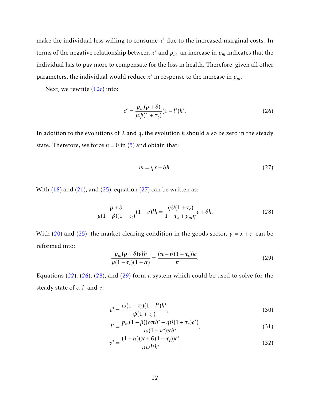make the individual less willing to consume *x* <sup>∗</sup> due to the increased marginal costs. In terms of the negative relationship between *x* <sup>∗</sup> and *<sup>p</sup>m*, an increase in *<sup>p</sup><sup>m</sup>* indicates that the individual has to pay more to compensate for the loss in health. Therefore, given all other parameters, the individual would reduce  $x^*$  in response to the increase in  $p_m$ .

Next, we rewrite  $(12c)$  into:

<span id="page-14-0"></span>
$$
c^* = \frac{p_m(\rho + \delta)}{\mu \psi (1 + \tau_c)} (1 - l^*) h^*.
$$
 (26)

In addition to the evolutions of *λ* and *q*, the evolution *h* should also be zero in the steady state. Therefore, we force  $\dot{h} = 0$  in (5) and obtain that:

<span id="page-14-2"></span>
$$
m = \eta x + \delta h. \tag{27}
$$

With  $(18)$  and  $(21)$ , and  $(25)$ , equation  $(27)$  can be written as:

<span id="page-14-1"></span>
$$
\frac{\rho + \delta}{\mu(1 - \beta)(1 - \tau_l)} (1 - v)lh = \frac{\eta \theta(1 + \tau_c)}{1 + \tau_x + p_m \eta} c + \delta h. \tag{28}
$$

With (20) and (25), the market clearing condition in the goods sector,  $y = x + c$ , can be reformed into:

<span id="page-14-3"></span>
$$
\frac{p_m(\rho+\delta)vlh}{\mu(1-\tau_l)(1-\alpha)} = \frac{(\pi+\theta(1+\tau_c))c}{\pi}.
$$
\n(29)

Equations (22), [\(26\)](#page-14-0), [\(28\)](#page-14-1), and [\(29\)](#page-14-3) form a system which could be used to solve for the steady state of *c*, *l*, and *v*:

<span id="page-14-4"></span>
$$
c^* = \frac{\omega(1 - \tau_l)(1 - l^*)h^*}{\psi(1 + \tau_c)},
$$
\n(30)

<span id="page-14-5"></span>
$$
l^* = \frac{p_m(1-\beta)(\delta \pi h^* + \eta \theta (1+\tau_c)c^*)}{\omega (1-v^*) \pi h^*},
$$
\n(31)

$$
v^* = \frac{(1 - \alpha)(\pi + \theta(1 + \tau_c))c^*}{\pi \omega l^* h^*},
$$
\n(32)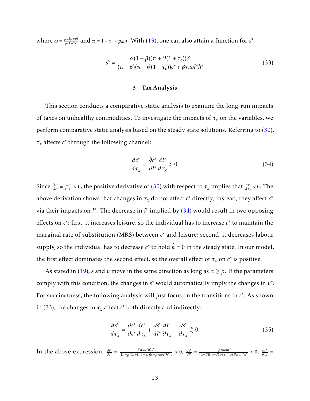where  $\omega = \frac{p_m(\rho + \delta)}{\mu(1 - \tau_l)}$  and  $\pi = 1 + \tau_x + p_m \eta$ . With [\(19\)](#page-12-4), one can also attain a function for *s*<sup>\*</sup>:

<span id="page-15-2"></span>
$$
s^* = \frac{\alpha(1-\beta)(\pi+\theta(1+\tau_c))c^*}{(\alpha-\beta)(\pi+\theta(1+\tau_c))c^* + \beta\pi\omega l^*h^*}
$$
(33)

#### 3 Tax Analysis

<span id="page-15-0"></span>This section conducts a comparative static analysis to examine the long-run impacts of taxes on unhealthy commodities. To investigate the impacts of *τ<sup>x</sup>* on the variables, we perform comparative static analysis based on the steady state solutions. Referring to  $(30)$ ,  $\tau_x$  affects  $c^*$  through the following channel:

<span id="page-15-1"></span>
$$
\frac{dc^*}{d\tau_x} = \frac{\partial c^*}{\partial l^*} \frac{dl^*}{d\tau_x} > 0.
$$
\n(34)

Since  $\frac{\partial c^*}{\partial l^*} = \frac{-c^*}{1-l}$  $\frac{-c^*}{1-l^*}$  < 0, the positive derivative of (30) with respect to *τ<sub>x</sub>* implies that  $\frac{dl^*}{d\tau_x}$  < 0. The above derivation shows that changes in  $\tau_x$  do not affect  $c^*$  directly; instead, they affect  $c^*$ via their impacts on *l*<sup>\*</sup>. The decrease in *l*<sup>\*</sup> implied by [\(34\)](#page-15-1) would result in two opposing effects on *c*<sup>∗</sup>: first, it increases leisure, so the individual has to increase *c*<sup>∗</sup> to maintain the marginal rate of substitution (MRS) between *c* <sup>∗</sup> and leisure; second, it decreases labour supply, so the individual has to decrease  $c^*$  to hold  $\dot{k}=0$  in the steady state. In our model, the first effect dominates the second effect, so the overall effect of  $\tau_x$  on  $c^*$  is positive.

As stated in (19), *s* and *v* move in the same direction as long as *α* ≥ *β*. If the parameters comply with this condition, the changes in *s*<sup>\*</sup> would automatically imply the changes in *v*<sup>\*</sup>. For succinctness, the following analysis will just focus on the transitions in *s* ∗ . As shown in [\(33\)](#page-15-2), the changes in  $\tau_x$  affect  $s^*$  both directly and indirectly:

$$
\frac{ds^*}{d\tau_x} = \frac{\partial s^*}{\partial c^*} \frac{dc^*}{d\tau_x} + \frac{\partial s^*}{d\tau_x} \frac{dl^*}{d\tau_x} + \frac{\partial s^*}{\partial \tau_x} \gtrless 0.
$$
\n(35)

In the above expression,  $\frac{\partial s^*}{\partial c^*} = \frac{\beta \pi \omega l^* h^* s^*}{((\alpha - \beta)(\pi + \theta(1 + \tau_c))c^4)}$  $\frac{\beta \pi \omega l^* h^* s^*}{((\alpha - \beta)(\pi + \theta(1 + \tau_c))c + \beta \pi \omega l^* h^*)c} > 0$ ,  $\frac{\partial s^*}{\partial l^*} = \frac{-\beta \pi \omega h s^*}{(\alpha - \beta)(\pi + \theta(1 + \tau_c))c}$  $\frac{-\beta \pi \omega h s^*}{(\alpha - \beta)(\pi + \theta(1 + \tau_c))c + \beta \pi \omega l^* h^*}$  < 0,  $\frac{\partial s^*}{\partial \tau_x}$  $\frac{\partial s}{\partial \tau_x}$  =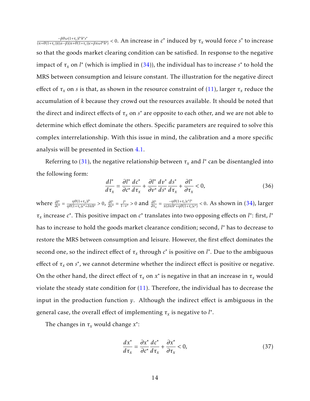−*βθω*(1+*τ<sup>c</sup>* )*l* ∗*h* ∗ *s* ∗  $\frac{-\beta\theta\omega(1+\tau_c)I^*h^*s^*}{(\pi+\theta(1+\tau_c))((\alpha-\beta)(\pi+\theta(1+\tau_c))c+\beta\pi\omega I^*h^*)}$  < 0. An increase in  $c^*$  induced by  $\tau_x$  would force  $s^*$  to increase so that the goods market clearing condition can be satisfied. In response to the negative impact of  $\tau_x$  on *l*\* (which is implied in (34)), the individual has to increase  $s^*$  to hold the MRS between consumption and leisure constant. The illustration for the negative direct effect of  $\tau_x$  on *s* is that, as shown in the resource constraint of (11), larger  $\tau_x$  reduce the accumulation of *k* because they crowd out the resources available. It should be noted that the direct and indirect effects of  $\tau_x$  on  $s^*$  are opposite to each other, and we are not able to determine which effect dominate the others. Specific parameters are required to solve this complex interrelationship. With this issue in mind, the calibration and a more specific analysis will be presented in Section 4.1.

Referring to [\(31\)](#page-14-5), the negative relationship between  $\tau_x$  and  $l^*$  can be disentangled into the following form:

$$
\frac{d l^*}{d \tau_x} = \frac{\partial l^*}{\partial c^*} \frac{d c^*}{d \tau_x} + \frac{\partial l^*}{\partial v^*} \frac{d v^*}{d s^*} \frac{d s^*}{d \tau_x} + \frac{\partial l^*}{\partial \tau_x} < 0,\tag{36}
$$

where  $\frac{\partial l^*}{\partial c^*} = \frac{\eta \theta (1 + \tau_x) l^*}{\eta \theta (1 + \tau_c) c^* + \delta^*}$  $\frac{\eta \theta (1+\tau_x) l^*}{\eta \theta (1+\tau_c) c^* + \delta \pi h^*} > 0$ ,  $\frac{\partial l^*}{\partial v^*} = \frac{l^*}{1-\tau}$  $\frac{l^*}{1-v^*} > 0$  and  $\frac{\partial l^*}{\partial \tau_x} = \frac{-\eta \theta (1+\tau_c) c^* l^*}{\pi (\delta \pi h^* + \eta \theta (1+\tau_c))}$  $\frac{-\eta \theta (1 + \tau_c)c^r \Gamma}{\pi (\delta \pi h^* + \eta \theta (1 + \tau_c)c^*)}$  < 0. As shown in (34), larger  $\tau_x$  increase *c*<sup>\*</sup>. This positive impact on *c*<sup>\*</sup> translates into two opposing effects on *l*<sup>\*</sup>: first, *l*<sup>\*</sup> has to increase to hold the goods market clearance condition; second, *l* <sup>∗</sup> has to decrease to restore the MRS between consumption and leisure. However, the first effect dominates the second one, so the indirect effect of  $\tau_x$  through  $c^*$  is positive on  $l^*$ . Due to the ambiguous effect of  $\tau_x$  on  $s^*$ , we cannot determine whether the indirect effect is positive or negative. On the other hand, the direct effect of  $\tau_x$  on  $x^*$  is negative in that an increase in  $\tau_x$  would violate the steady state condition for (11). Therefore, the individual has to decrease the input in the production function *y*. Although the indirect effect is ambiguous in the general case, the overall effect of implementing  $\tau_x$  is negative to  $l^*$ .

The changes in  $\tau_x$  would change  $x^*$ :

<span id="page-16-0"></span>
$$
\frac{dx^*}{d\tau_x} = \frac{\partial x^*}{\partial c^*} \frac{dc^*}{d\tau_x} + \frac{\partial x^*}{\partial \tau_x} < 0,\tag{37}
$$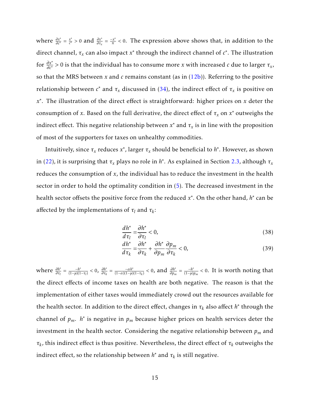where  $\frac{\partial x^*}{\partial c^*} = \frac{x^*}{c^*}$  $\frac{x^*}{c^*} > 0$  and  $\frac{\partial x^*}{\partial \tau_x} = \frac{-x^*}{\pi}$  $\frac{dx^*}{\pi}$  < 0. The expression above shows that, in addition to the direct channel,  $\tau_x$  can also impact  $x^*$  through the indirect channel of  $c^*$ . The illustration for  $\frac{\partial x^*}{\partial c^*} > 0$  is that the individual has to consume more *x* with increased *c* due to larger  $\tau_x$ , so that the MRS between *x* and *c* remains constant (as in (12b)). Referring to the positive  $\tau$  relationship between  $c^*$  and  $\tau_x$  discussed in (34), the indirect effect of  $\tau_x$  is positive on *x* ∗ . The illustration of the direct effect is straightforward: higher prices on *x* deter the consumption of *x*. Based on the full derivative, the direct effect of  $\tau_x$  on  $x^*$  outweighs the indirect effect. This negative relationship between  $x^*$  and  $\tau_x$  is in line with the proposition of most of the supporters for taxes on unhealthy commodities.

Intuitively, since  $\tau_x$  reduces  $x^*$ , larger  $\tau_x$  should be beneficial to  $h^*$ . However, as shown in (22), it is surprising that  $\tau_x$  plays no role in  $h^*$ . As explained in Section 2.3, although  $\tau_x$ reduces the consumption of *x*, the individual has to reduce the investment in the health sector in order to hold the optimality condition in (5). The decreased investment in the health sector offsets the positive force from the reduced *x* ∗ . On the other hand, *h* ∗ can be affected by the implementations of  $\tau_l$  and  $\tau_k$ :

<span id="page-17-2"></span>
$$
\frac{dh^*}{d\tau_l} = \frac{\partial h^*}{\partial \tau_l} < 0,\tag{38}
$$

<span id="page-17-1"></span>
$$
\frac{dh^*}{d\tau_k} = \frac{\partial h^*}{\partial \tau_k} + \frac{\partial h^*}{\partial p_m} \frac{\partial p_m}{\partial \tau_k} < 0,\tag{39}
$$

<span id="page-17-0"></span>where  $\frac{\partial h^*}{\partial \tau_l} = \frac{-h^*}{(1-\mu)(1-\mu)}$  $\frac{-h^*}{(1-\mu)(1-\tau_l)}$  < 0,  $\frac{\partial h^*}{\partial \tau_k}$  $\frac{\partial h^*}{\partial \tau_k} = \frac{-\alpha h^*}{(1-\alpha)(1-\mu)}$  $\frac{-\alpha h^*}{(1-\alpha)(1-\mu)(1-\tau_k)}$  < 0, and  $\frac{\partial h^*}{\partial p_m} = \frac{-h^*}{(1-\mu)}$ (1−*µ*)*p<sup>m</sup> <* 0. It is worth noting that the direct effects of income taxes on health are both negative. The reason is that the implementation of either taxes would immediately crowd out the resources available for the health sector. In addition to the direct effect, changes in  $\tau_k$  also affect  $h^*$  through the channel of  $p_m$ .  $h^*$  is negative in  $p_m$  because higher prices on health services deter the investment in the health sector. Considering the negative relationship between *p<sup>m</sup>* and *τk* , this indirect effect is thus positive. Nevertheless, the direct effect of *τ<sup>k</sup>* outweighs the indirect effect, so the relationship between  $h^*$  and  $\tau_k$  is still negative.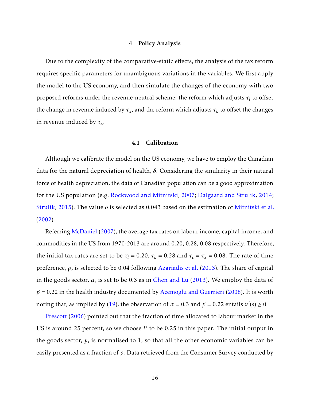#### 4 Policy Analysis

Due to the complexity of the comparative-static effects, the analysis of the tax reform requires specific parameters for unambiguous variations in the variables. We first apply the model to the US economy, and then simulate the changes of the economy with two proposed reforms under the revenue-neutral scheme: the reform which adjusts  $\tau_l$  to offset the change in revenue induced by  $\tau_x$ , and the reform which adjusts  $\tau_k$  to offset the changes in revenue induced by *τ<sup>x</sup>* .

#### 4.1 Calibration

<span id="page-18-0"></span>Although we calibrate the model on the US economy, we have to employ the Canadian data for the natural depreciation of health, *δ*. Considering the similarity in their natural force of health depreciation, the data of Canadian population can be a good approximation for the US population (e.g. [Rockwood and Mitnitski,](#page-37-7) 2007; [Dalgaard and Strulik,](#page-35-7) 2014; [Strulik,](#page-37-5) 2015). The value *δ* is selected as 0.043 based on the estimation of [Mitnitski et al.](#page-36-7) (2002).

Referring [McDaniel](#page-36-8) (2007), the average tax rates on labour income, capital income, and commodities in the US from 1970-2013 are around 0.20, 0.28, 0.08 respectively. Therefore, the initial tax rates are set to be  $\tau_l = 0.20$ ,  $\tau_k = 0.28$  and  $\tau_c = \tau_x = 0.08$ . The rate of time preference, *ρ*, is selected to be 0.04 following Azariadis et al. (2013). The share of capital in the goods sector,  $\alpha$ , is set to be 0.3 as in [Chen and Lu](#page-35-8) (2013). We employ the data of  $\beta$  = 0.22 in the health industry documented by [Acemoglu and Guerrieri](#page-35-9) (2008). It is worth noting that, as implied by (19), the observation of  $\alpha = 0.3$  and  $\beta = 0.22$  entails  $v'(s) \ge 0$ .

[Prescott](#page-37-6) (2006) pointed out that the fraction of time allocated to labour market in the US is around 25 percent, so we choose *l*<sup>\*</sup> to be 0.25 in this paper. The initial output in the goods sector, *y*, is normalised to 1, so that all the other economic variables can be easily presented as a fraction of *y*. Data retrieved from the Consumer Survey conducted by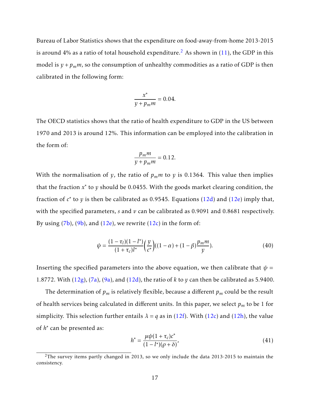Bureau of Labor Statistics shows that the expenditure on food-away-from-home 2013-2015 is around 4% as a ratio of total household expenditure.<sup>[2](#page-2-0)</sup> As shown in  $(11)$ , the GDP in this model is  $y + p_m m$ , so the consumption of unhealthy commodities as a ratio of GDP is then calibrated in the following form:

$$
\frac{x^*}{y + p_m m} = 0.04.
$$

The OECD statistics shows that the ratio of health expenditure to GDP in the US between 1970 and 2013 is around 12%. This information can be employed into the calibration in the form of:

$$
\frac{p_m m}{y + p_m m} = 0.12.
$$

With the normalisation of *y*, the ratio of  $p_m m$  to *y* is 0.1364. This value then implies that the fraction *x*<sup>∗</sup> to *y* should be 0.0455. With the goods market clearing condition, the fraction of *c*<sup>∗</sup> to *y* is then be calibrated as 0.9545. Equations (12d) and (12e) imply that, with the specified parameters, *s* and *v* can be calibrated as 0.9091 and 0.8681 respectively. By using  $(7b)$ ,  $(9b)$ , and  $(12e)$ , we rewrite  $(12c)$  in the form of:

$$
\psi = \frac{(1 - \tau_l)(1 - l^*)}{(1 + \tau_c)l^*} \left(\frac{y}{c^*}\right) ((1 - \alpha) + (1 - \beta) \frac{p_m m}{y}).\tag{40}
$$

Inserting the specified parameters into the above equation, we then calibrate that  $\psi$  = 1*.*8772. With (12g), (7a), (9a), and (12d), the ratio of *k* to *y* can then be calibrated as 5.9400.

The determination of  $p_m$  is relatively flexible, because a different  $p_m$  could be the result of health services being calculated in different units. In this paper, we select *p<sup>m</sup>* to be 1 for simplicity. This selection further entails  $\lambda = q$  as in (12f). With (12c) and (12h), the value of *h*<sup>\*</sup> can be presented as:

<span id="page-19-0"></span>
$$
h^* = \frac{\mu \psi (1 + \tau_c) c^*}{(1 - l^*)(\rho + \delta)},
$$
\n(41)

 $2$ The survey items partly changed in 2013, so we only include the data 2013-2015 to maintain the consistency.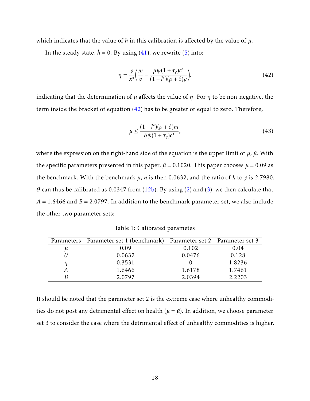which indicates that the value of *h* in this calibration is affected by the value of *µ*.

In the steady state,  $\dot{h} = 0$ . By using [\(41\)](#page-19-0), we rewrite (5) into:

<span id="page-20-0"></span>
$$
\eta = \frac{y}{x^*} \left( \frac{m}{y} - \frac{\mu \psi (1 + \tau_c) c^*}{(1 - l^*)(\rho + \delta) y} \right),\tag{42}
$$

indicating that the determination of *µ* affects the value of *η*. For *η* to be non-negative, the term inside the bracket of equation [\(42\)](#page-20-0) has to be greater or equal to zero. Therefore,

$$
\mu \le \frac{(1 - l^*)(\rho + \delta)m}{\delta \psi (1 + \tau_c)c^*},\tag{43}
$$

where the expression on the right-hand side of the equation is the upper limit of  $\mu$ ,  $\bar{\mu}$ . With the specific parameters presented in this paper,  $\bar{\mu}$  = 0.1020. This paper chooses  $\mu$  = 0.09 as the benchmark. With the benchmark *µ*, *η* is then 0.0632, and the ratio of *h* to *y* is 2.7980. *θ* can thus be calibrated as 0.0347 from (12b). By using [\(2\)](#page-6-3) and (3), we then calculate that  $A = 1.6466$  and  $B = 2.0797$ . In addition to the benchmark parameter set, we also include the other two parameter sets:

Table 1: Calibrated parametes

<span id="page-20-1"></span>

|       | Parameters Parameter set 1 (benchmark) Parameter set 2 Parameter set 3 |        |        |
|-------|------------------------------------------------------------------------|--------|--------|
| $\mu$ | 0.09                                                                   | 0.102  | 0.04   |
|       | 0.0632                                                                 | 0.0476 | 0.128  |
| п     | 0.3531                                                                 |        | 1.8236 |
|       | 1.6466                                                                 | 1.6178 | 1.7461 |
|       | 2.0797                                                                 | 2.0394 | 2.2203 |

It should be noted that the parameter set 2 is the extreme case where unhealthy commodities do not post any detrimental effect on health ( $\mu = \bar{\mu}$ ). In addition, we choose parameter set 3 to consider the case where the detrimental effect of unhealthy commodities is higher.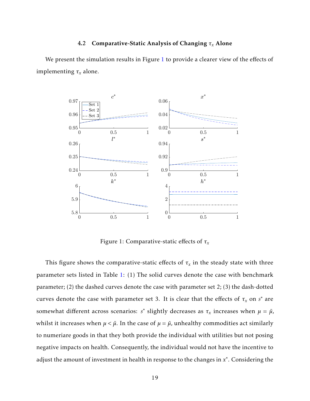### 4.2 Comparative-Static Analysis of Changing *τ<sup>x</sup>* Alone

<span id="page-21-0"></span>We present the simulation results in Figure [1](#page-21-0) to provide a clearer view of the effects of implementing *τ<sup>x</sup>* alone.



Figure 1: Comparative-static effects of *τ<sup>x</sup>*

This figure shows the comparative-static effects of  $\tau_x$  in the steady state with three parameter sets listed in Table [1:](#page-20-1) (1) The solid curves denote the case with benchmark parameter; (2) the dashed curves denote the case with parameter set 2; (3) the dash-dotted curves denote the case with parameter set 3. It is clear that the effects of  $\tau_x$  on  $s^*$  are somewhat different across scenarios:  $s^*$  slightly decreases as  $\tau_x$  increases when  $\mu = \bar{\mu}$ , whilst it increases when  $\mu < \bar{\mu}$ . In the case of  $\mu = \bar{\mu}$ , unhealthy commodities act similarly to numeriare goods in that they both provide the individual with utilities but not posing negative impacts on health. Consequently, the individual would not have the incentive to adjust the amount of investment in health in response to the changes in  $x^*$ . Considering the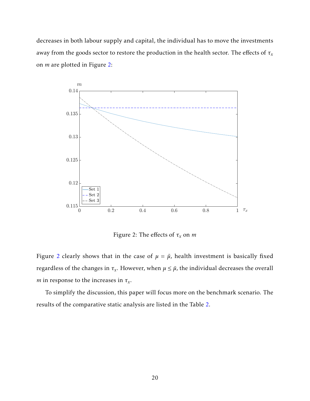decreases in both labour supply and capital, the individual has to move the investments away from the goods sector to restore the production in the health sector. The effects of *τ<sup>x</sup>* on *m* are plotted in Figure [2:](#page-22-0)

<span id="page-22-0"></span>

Figure 2: The effects of *τ<sup>x</sup>* on *m*

Figure 2 clearly shows that in the case of  $\mu = \bar{\mu}$ , health investment is basically fixed regardless of the changes in  $\tau_x$ . However, when  $\mu \leq \bar{\mu}$ , the individual decreases the overall *m* in response to the increases in *τ<sup>x</sup>* .

To simplify the discussion, this paper will focus more on the benchmark scenario. The results of the comparative static analysis are listed in the Table [2.](#page-23-1)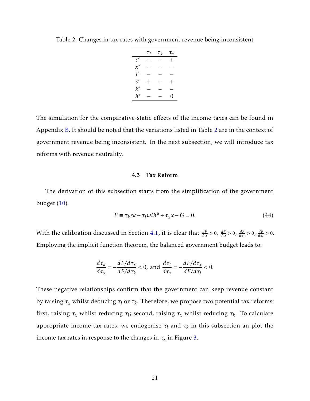|       | $\tau_l$     | $\tau_k$     | $\tau_x$ |
|-------|--------------|--------------|----------|
| $c^*$ |              |              | $^+$     |
| $x^*$ |              |              |          |
| l*    |              |              |          |
| $s^*$ | $\mathrm{+}$ | $\mathrm{+}$ | $\pm$    |
| $k^*$ |              |              |          |
| h*    |              |              | 0        |

<span id="page-23-1"></span>Table 2: Changes in tax rates with government revenue being inconsistent

The simulation for the comparative-static effects of the income taxes can be found in Appendix [B.](#page-32-0) It should be noted that the variations listed in Table 2 are in the context of government revenue being inconsistent. In the next subsection, we will introduce tax reforms with revenue neutrality.

#### 4.3 Tax Reform

<span id="page-23-0"></span>The derivation of this subsection starts from the simplification of the government budget  $(10)$ .

$$
F \equiv \tau_k r k + \tau_l \, w l h^{\mu} + \tau_x x - G = 0. \tag{44}
$$

With the calibration discussed in Section 4.1, it is clear that  $\frac{dF}{d\tau_k} > 0$ ,  $\frac{dF}{d\tau_k} > 0$ ,  $\frac{dF}{d\tau_x} > 0$ ,  $\frac{dF}{d\tau_c} > 0$ . Employing the implicit function theorem, the balanced government budget leads to:

$$
\frac{d\tau_k}{d\tau_x} = -\frac{dF/d\tau_x}{dF/d\tau_k} < 0, \text{ and } \frac{d\tau_l}{d\tau_x} = -\frac{dF/d\tau_x}{dF/d\tau_l} < 0.
$$

These negative relationships confirm that the government can keep revenue constant by raising *τ<sup>x</sup>* whilst deducing *τ<sup>l</sup>* or *τ<sup>k</sup>* . Therefore, we propose two potential tax reforms: first, raising *τ<sup>x</sup>* whilst reducing *τ<sup>l</sup>* ; second, raising *τ<sup>x</sup>* whilst reducing *τ<sup>k</sup>* . To calculate appropriate income tax rates, we endogenise  $\tau_l$  and  $\tau_k$  in this subsection an plot the income tax rates in response to the changes in  $\tau_x$  in Figure [3.](#page-24-0)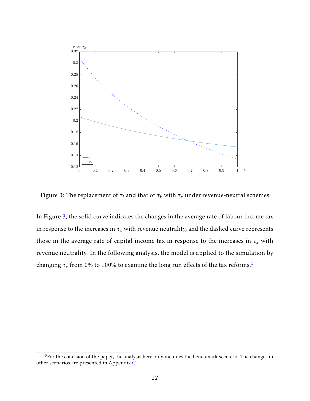<span id="page-24-0"></span>

Figure 3: The replacement of  $\tau_l$  and that of  $\tau_k$  with  $\tau_x$  under revenue-neutral schemes

In Figure 3, the solid curve indicates the changes in the average rate of labour income tax in response to the increases in  $\tau_x$  with revenue neutrality, and the dashed curve represents those in the average rate of capital income tax in response to the increases in  $\tau_x$  with revenue neutrality. In the following analysis, the model is applied to the simulation by changing  $\tau_x$  from 0% to 100% to examine the long run effects of the tax reforms.<sup>[3](#page-2-0)</sup>

 $3$ For the concision of the paper, the analysis here only includes the benchmark scenario. The changes in other scenarios are presented in Appendix [C](#page-34-0)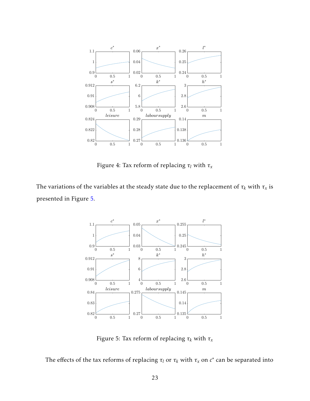<span id="page-25-1"></span>

Figure 4: Tax reform of replacing *τ<sup>l</sup>* with *τ<sup>x</sup>*

<span id="page-25-0"></span>The variations of the variables at the steady state due to the replacement of  $\tau_k$  with  $\tau_x$  is presented in Figure [5.](#page-25-0)



Figure 5: Tax reform of replacing  $\tau_k$  with  $\tau_x$ 

The effects of the tax reforms of replacing  $\tau_l$  or  $\tau_k$  with  $\tau_x$  on  $c^*$  can be separated into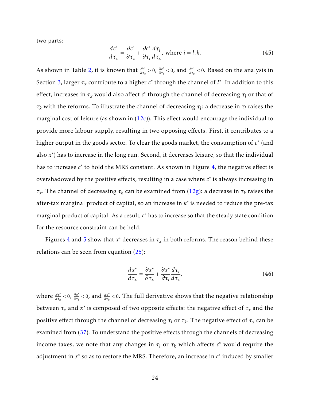two parts:

$$
\frac{dc^*}{d\tau_x} = \frac{\partial c^*}{\partial \tau_x} + \frac{\partial c^*}{\partial \tau_i} \frac{d\tau_i}{d\tau_x}, \text{ where } i = l, k. \tag{45}
$$

As shown in Table 2, it is known that  $\frac{\partial c^*}{\partial \tau_x} > 0$ ,  $\frac{\partial c^*}{\partial \tau_l}$  $\frac{\partial c^*}{\partial \tau_l}$  < 0, and  $\frac{\partial c^*}{\partial \tau_k}$  < 0. Based on the analysis in Section 3, larger *τ<sup>x</sup>* contribute to a higher *c* ∗ through the channel of *l* ∗ . In addition to this effect, increases in  $\tau_x$  would also affect  $c^*$  through the channel of decreasing  $\tau_l$  or that of *τ<sup>k</sup>* with the reforms. To illustrate the channel of decreasing *τ<sup>l</sup>* : a decrease in *τ<sup>l</sup>* raises the marginal cost of leisure (as shown in  $(12c)$ ). This effect would encourage the individual to provide more labour supply, resulting in two opposing effects. First, it contributes to a higher output in the goods sector. To clear the goods market, the consumption of  $c^*$  (and also *x* ∗ ) has to increase in the long run. Second, it decreases leisure, so that the individual has to increase *c* ∗ to hold the MRS constant. As shown in Figure [4,](#page-25-1) the negative effect is overshadowed by the positive effects, resulting in a case where  $c^*$  is always increasing in *τx* . The channel of decreasing *τ<sup>k</sup>* can be examined from (12g): a decrease in *τ<sup>k</sup>* raises the after-tax marginal product of capital, so an increase in  $k^*$  is needed to reduce the pre-tax marginal product of capital. As a result, *c* <sup>∗</sup> has to increase so that the steady state condition for the resource constraint can be held.

Figures 4 and 5 show that  $x^*$  decreases in  $\tau_x$  in both reforms. The reason behind these relations can be seen from equation (25):

$$
\frac{dx^*}{d\tau_x} = \frac{\partial x^*}{\partial \tau_x} + \frac{\partial x^*}{\partial \tau_i} \frac{d\tau_i}{d\tau_x},\tag{46}
$$

*where*  $\frac{\partial x^*}{\partial \tau_x}$  < 0,  $\frac{\partial x^*}{\partial \tau_l}$  $\frac{\partial x^*}{\partial \tau_l}$  < 0, and  $\frac{\partial x^*}{\partial \tau_k}$  < 0. The full derivative shows that the negative relationship between  $\tau_x$  and  $x^*$  is composed of two opposite effects: the negative effect of  $\tau_x$  and the positive effect through the channel of decreasing  $τ_l$  or  $τ_k$ . The negative effect of  $τ_x$  can be examined from [\(37\)](#page-16-0). To understand the positive effects through the channels of decreasing income taxes, we note that any changes in  $\tau_l$  or  $\tau_k$  which affects  $c^*$  would require the adjustment in *x* ∗ so as to restore the MRS. Therefore, an increase in *c* ∗ induced by smaller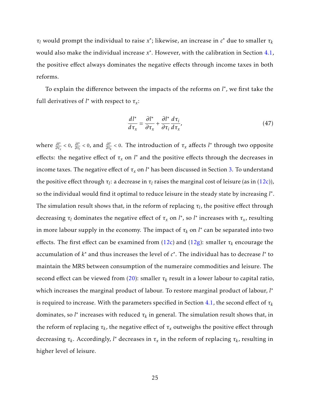$\tau_l$  would prompt the individual to raise  $x^*$ ; likewise, an increase in  $c^*$  due to smaller  $\tau_k$ would also make the individual increase x<sup>\*</sup>. However, with the calibration in Section 4.1, the positive effect always dominates the negative effects through income taxes in both reforms.

To explain the difference between the impacts of the reforms on *l*<sup>\*</sup>, we first take the full derivatives of  $l^*$  with respect to  $\tau_x$ :

$$
\frac{d l^*}{d\tau_x} = \frac{\partial l^*}{\partial \tau_x} + \frac{\partial l^*}{\partial \tau_i} \frac{d\tau_i}{d\tau_x},\tag{47}
$$

*where*  $\frac{\partial l^*}{\partial \tau_x}$  < 0,  $\frac{\partial l^*}{\partial \tau_l}$ *∂ι*<sup>∗</sup>  $\frac{\partial l^*}{\partial \tau_l}$  < 0. The introduction of  $\tau_x$  affects *l*<sup>∗</sup> through two opposite effects: the negative effect of  $\tau_x$  on  $l^*$  and the positive effects through the decreases in income taxes. The negative effect of  $\tau_x$  on  $l^*$  has been discussed in Section 3. To understand the positive effect through  $τ_l$ : a decrease in  $τ_l$  raises the marginal cost of leisure (as in (12c)), so the individual would find it optimal to reduce leisure in the steady state by increasing *l* ∗ . The simulation result shows that, in the reform of replacing  $\tau_l$ , the positive effect through decreasing  $\tau_l$  dominates the negative effect of  $\tau_x$  on  $l^*$ , so  $l^*$  increases with  $\tau_x$ , resulting in more labour supply in the economy. The impact of  $\tau_k$  on  $l^*$  can be separated into two effects. The first effect can be examined from  $(12c)$  and  $(12g)$ : smaller  $\tau_k$  encourage the accumulation of  $k^*$  and thus increases the level of  $c^*$ . The individual has to decrease  $l^*$  to maintain the MRS between consumption of the numeraire commodities and leisure. The second effect can be viewed from (20): smaller  $\tau_k$  result in a lower labour to capital ratio, which increases the marginal product of labour. To restore marginal product of labour, *l* ∗ is required to increase. With the parameters specified in Section 4.1, the second effect of *τ<sup>k</sup>* dominates, so  $l^*$  increases with reduced  $\tau_k$  in general. The simulation result shows that, in the reform of replacing  $\tau_k$ , the negative effect of  $\tau_x$  outweighs the positive effect through  $\det$  decreasing  $\tau_k$ . Accordingly,  $l^*$  decreases in  $\tau_x$  in the reform of replacing  $\tau_k$ , resulting in higher level of leisure.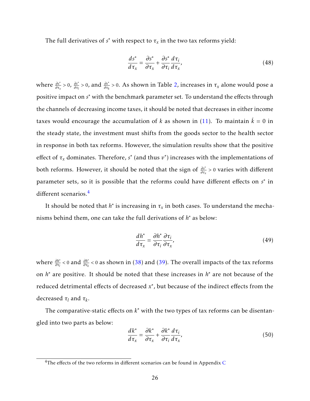The full derivatives of  $s^*$  with respect to  $\tau_x$  in the two tax reforms yield:

$$
\frac{ds^*}{d\tau_x} = \frac{\partial s^*}{\partial \tau_x} + \frac{\partial s^*}{\partial \tau_i} \frac{d\tau_i}{d\tau_x},\tag{48}
$$

where  $\frac{\partial s^*}{\partial \tau_x} > 0$ ,  $\frac{\partial s^*}{\partial \tau_l}$  $\frac{\partial s^*}{\partial \tau_l}$  > 0, and  $\frac{\partial s^*}{\partial \tau_k}$  > 0. As shown in Table 2, increases in  $\tau_x$  alone would pose a positive impact on *s*<sup>\*</sup> with the benchmark parameter set. To understand the effects through the channels of decreasing income taxes, it should be noted that decreases in either income taxes would encourage the accumulation of *k* as shown in (11). To maintain  $\dot{k} = 0$  in the steady state, the investment must shifts from the goods sector to the health sector in response in both tax reforms. However, the simulation results show that the positive effect of  $\tau_x$  dominates. Therefore,  $s^*$  (and thus  $v^*$ ) increases with the implementations of both reforms. However, it should be noted that the sign of *∂s*<sup>∗</sup> *∂τ<sup>x</sup> >* 0 varies with different parameter sets, so it is possible that the reforms could have different effects on *s*<sup>\*</sup> in different scenarios.[4](#page-2-0)

It should be noted that  $h^*$  is increasing in  $\tau_x$  in both cases. To understand the mechanisms behind them, one can take the full derivations of  $h^*$  as below:

$$
\frac{dh^*}{d\tau_x} = \frac{\partial h^*}{\partial \tau_i} \frac{\partial \tau_i}{\partial \tau_x},\tag{49}
$$

where *∂h*<sup>∗</sup> *∂τ<sup>l</sup> <sup>&</sup>lt;* <sup>0</sup> and *∂h*<sup>∗</sup> *∂τ<sup>k</sup> <* 0 as shown in [\(38\)](#page-17-2) and [\(39\)](#page-17-1). The overall impacts of the tax reforms on *h* <sup>∗</sup> are positive. It should be noted that these increases in *h* <sup>∗</sup> are not because of the reduced detrimental effects of decreased  $x^*$ , but because of the indirect effects from the decreased *τ<sup>l</sup>* and *τ<sup>k</sup>* .

The comparative-static effects on  $k^*$  with the two types of tax reforms can be disentangled into two parts as below:

$$
\frac{dk^*}{d\tau_x} = \frac{\partial k^*}{\partial \tau_x} + \frac{\partial k^*}{\partial \tau_i} \frac{d\tau_i}{d\tau_x},\tag{50}
$$

 $4$ The effects of the two reforms in different scenarios can be found in Appendix C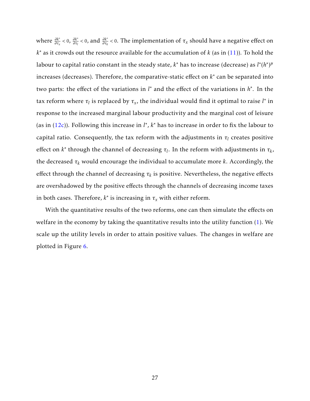where  $\frac{\partial k^*}{\partial \tau_x} < 0$ ,  $\frac{\partial k^*}{\partial \tau_l}$  $\frac{\partial k^*}{\partial \tau_l}$  < 0, and  $\frac{\partial k^*}{\partial \tau_k}$  < 0. The implementation of  $\tau_x$  should have a negative effect on *k* <sup>∗</sup> as it crowds out the resource available for the accumulation of *k* (as in (11)). To hold the labour to capital ratio constant in the steady state,  $k^*$  has to increase (decrease) as  $l^*(h^*)^\mu$ increases (decreases). Therefore, the comparative-static effect on  $k^*$  can be separated into two parts: the effect of the variations in *l*<sup>\*</sup> and the effect of the variations in *h*<sup>\*</sup>. In the tax reform where  $\tau_l$  is replaced by  $\tau_x$ , the individual would find it optimal to raise  $l^*$  in response to the increased marginal labour productivity and the marginal cost of leisure (as in  $(12c)$ ). Following this increase in  $l^*$ ,  $k^*$  has to increase in order to fix the labour to capital ratio. Consequently, the tax reform with the adjustments in  $\tau_l$  creates positive effect on  $k^*$  through the channel of decreasing  $\tau_l$ . In the reform with adjustments in  $\tau_k$ , the decreased *τ<sup>k</sup>* would encourage the individual to accumulate more *k*. Accordingly, the effect through the channel of decreasing  $\tau_k$  is positive. Nevertheless, the negative effects are overshadowed by the positive effects through the channels of decreasing income taxes in both cases. Therefore,  $k^*$  is increasing in  $\tau_x$  with either reform.

With the quantitative results of the two reforms, one can then simulate the effects on welfare in the economy by taking the quantitative results into the utility function (1). We scale up the utility levels in order to attain positive values. The changes in welfare are plotted in Figure [6.](#page-30-1)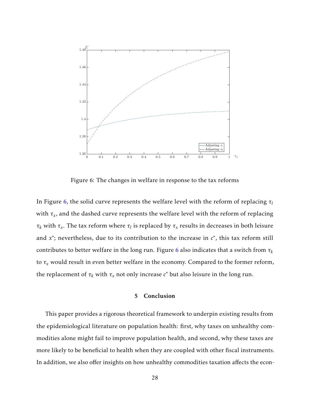<span id="page-30-1"></span>

Figure 6: The changes in welfare in response to the tax reforms

In Figure 6, the solid curve represents the welfare level with the reform of replacing *τ<sup>l</sup>* with  $\tau_x$ , and the dashed curve represents the welfare level with the reform of replacing *τk* with *τ*<sub>*x*</sub>. The tax reform where *τl* is replaced by *τ*<sub>*x*</sub> results in decreases in both leisure and  $x^*$ ; nevertheless, due to its contribution to the increase in  $c^*$ , this tax reform still contributes to better welfare in the long run. Figure 6 also indicates that a switch from *τ<sup>k</sup>* to  $\tau_x$  would result in even better welfare in the economy. Compared to the former reform, the replacement of  $\tau_k$  with  $\tau_x$  not only increase  $c^*$  but also leisure in the long run.

#### 5 Conclusion

<span id="page-30-0"></span>This paper provides a rigorous theoretical framework to underpin existing results from the epidemiological literature on population health: first, why taxes on unhealthy commodities alone might fail to improve population health, and second, why these taxes are more likely to be beneficial to health when they are coupled with other fiscal instruments. In addition, we also offer insights on how unhealthy commodities taxation affects the econ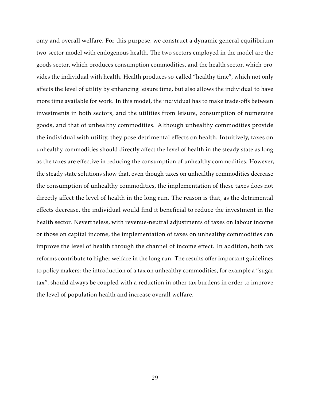omy and overall welfare. For this purpose, we construct a dynamic general equilibrium two-sector model with endogenous health. The two sectors employed in the model are the goods sector, which produces consumption commodities, and the health sector, which provides the individual with health. Health produces so-called "healthy time", which not only affects the level of utility by enhancing leisure time, but also allows the individual to have more time available for work. In this model, the individual has to make trade-offs between investments in both sectors, and the utilities from leisure, consumption of numeraire goods, and that of unhealthy commodities. Although unhealthy commodities provide the individual with utility, they pose detrimental effects on health. Intuitively, taxes on unhealthy commodities should directly affect the level of health in the steady state as long as the taxes are effective in reducing the consumption of unhealthy commodities. However, the steady state solutions show that, even though taxes on unhealthy commodities decrease the consumption of unhealthy commodities, the implementation of these taxes does not directly affect the level of health in the long run. The reason is that, as the detrimental effects decrease, the individual would find it beneficial to reduce the investment in the health sector. Nevertheless, with revenue-neutral adjustments of taxes on labour income or those on capital income, the implementation of taxes on unhealthy commodities can improve the level of health through the channel of income effect. In addition, both tax reforms contribute to higher welfare in the long run. The results offer important guidelines to policy makers: the introduction of a tax on unhealthy commodities, for example a "sugar tax", should always be coupled with a reduction in other tax burdens in order to improve the level of population health and increase overall welfare.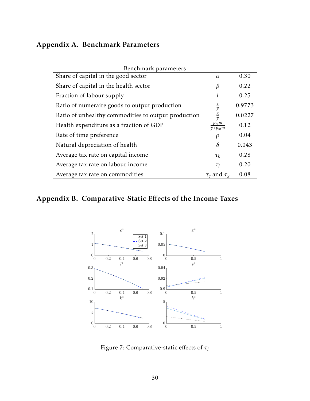## Appendix A. Benchmark Parameters

| Benchmark parameters                                |                       |        |  |  |  |
|-----------------------------------------------------|-----------------------|--------|--|--|--|
| Share of capital in the good sector                 | $\alpha$              | 0.30   |  |  |  |
| Share of capital in the health sector               | β                     | 0.22   |  |  |  |
| Fraction of labour supply                           |                       | 0.25   |  |  |  |
| Ratio of numeraire goods to output production       | $rac{c}{y}$           | 0.9773 |  |  |  |
| Ratio of unhealthy commodities to output production | $rac{x}{y}$           | 0.0227 |  |  |  |
| Health expenditure as a fraction of GDP             | $p_m$ m<br>$y+p_m m$  | 0.12   |  |  |  |
| Rate of time preference                             | $\rho$                | 0.04   |  |  |  |
| Natural depreciation of health                      | $\delta$              | 0.043  |  |  |  |
| Average tax rate on capital income                  | $\tau_k$              | 0.28   |  |  |  |
| Average tax rate on labour income                   | $\tau_I$              | 0.20   |  |  |  |
| Average tax rate on commodities                     | $\tau_c$ and $\tau_r$ | 0.08   |  |  |  |

## <span id="page-32-0"></span>Appendix B. Comparative-Static Effects of the Income Taxes



Figure 7: Comparative-static effects of *τ<sup>l</sup>*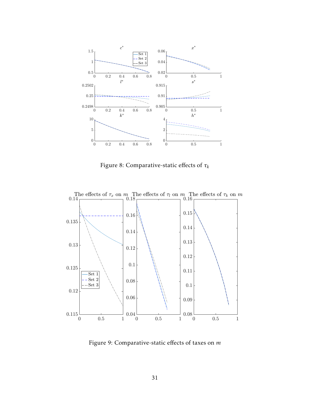

Figure 8: Comparative-static effects of *τ<sup>k</sup>*



Figure 9: Comparative-static effects of taxes on *m*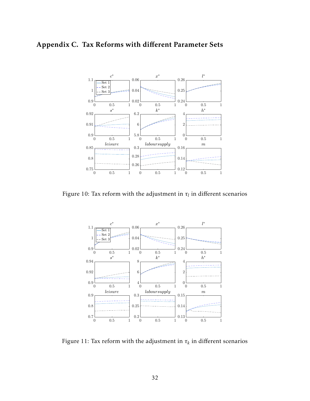# <span id="page-34-0"></span>Appendix C. Tax Reforms with different Parameter Sets



Figure 10: Tax reform with the adjustment in  $\tau_l$  in different scenarios



Figure 11: Tax reform with the adjustment in  $\tau_k$  in different scenarios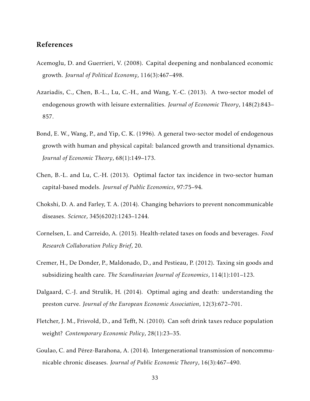### References

- <span id="page-35-9"></span>Acemoglu, D. and Guerrieri, V. (2008). Capital deepening and nonbalanced economic growth. *Journal of Political Economy*, 116(3):467–498.
- <span id="page-35-6"></span>Azariadis, C., Chen, B.-L., Lu, C.-H., and Wang, Y.-C. (2013). A two-sector model of endogenous growth with leisure externalities. *Journal of Economic Theory*, 148(2):843– 857.
- <span id="page-35-5"></span>Bond, E. W., Wang, P., and Yip, C. K. (1996). A general two-sector model of endogenous growth with human and physical capital: balanced growth and transitional dynamics. *Journal of Economic Theory*, 68(1):149–173.
- <span id="page-35-8"></span>Chen, B.-L. and Lu, C.-H. (2013). Optimal factor tax incidence in two-sector human capital-based models. *Journal of Public Economics*, 97:75–94.
- <span id="page-35-2"></span>Chokshi, D. A. and Farley, T. A. (2014). Changing behaviors to prevent noncommunicable diseases. *Science*, 345(6202):1243–1244.
- <span id="page-35-1"></span>Cornelsen, L. and Carreido, A. (2015). Health-related taxes on foods and beverages. *Food Research Collaboration Policy Brief*, 20.
- <span id="page-35-3"></span>Cremer, H., De Donder, P., Maldonado, D., and Pestieau, P. (2012). Taxing sin goods and subsidizing health care. *The Scandinavian Journal of Economics*, 114(1):101–123.
- <span id="page-35-7"></span>Dalgaard, C.-J. and Strulik, H. (2014). Optimal aging and death: understanding the preston curve. *Journal of the European Economic Association*, 12(3):672–701.
- <span id="page-35-0"></span>Fletcher, J. M., Frisvold, D., and Tefft, N. (2010). Can soft drink taxes reduce population weight? *Contemporary Economic Policy*, 28(1):23–35.
- <span id="page-35-4"></span>Goulao, C. and Pérez-Barahona, A. (2014). Intergenerational transmission of noncommunicable chronic diseases. *Journal of Public Economic Theory*, 16(3):467–490.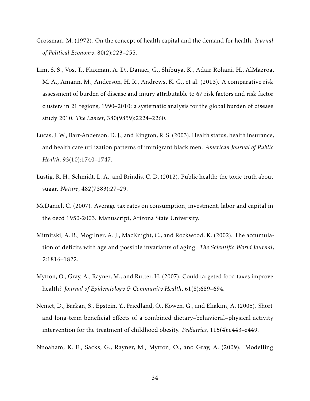- <span id="page-36-5"></span>Grossman, M. (1972). On the concept of health capital and the demand for health. *Journal of Political Economy*, 80(2):223–255.
- <span id="page-36-2"></span>Lim, S. S., Vos, T., Flaxman, A. D., Danaei, G., Shibuya, K., Adair-Rohani, H., AlMazroa, M. A., Amann, M., Anderson, H. R., Andrews, K. G., et al. (2013). A comparative risk assessment of burden of disease and injury attributable to 67 risk factors and risk factor clusters in 21 regions, 1990–2010: a systematic analysis for the global burden of disease study 2010. *The Lancet*, 380(9859):2224–2260.
- <span id="page-36-6"></span>Lucas, J. W., Barr-Anderson, D. J., and Kington, R. S. (2003). Health status, health insurance, and health care utilization patterns of immigrant black men. *American Journal of Public Health*, 93(10):1740–1747.
- <span id="page-36-0"></span>Lustig, R. H., Schmidt, L. A., and Brindis, C. D. (2012). Public health: the toxic truth about sugar. *Nature*, 482(7383):27–29.
- <span id="page-36-8"></span>McDaniel, C. (2007). Average tax rates on consumption, investment, labor and capital in the oecd 1950-2003. Manuscript, Arizona State University.
- <span id="page-36-7"></span>Mitnitski, A. B., Mogilner, A. J., MacKnight, C., and Rockwood, K. (2002). The accumulation of deficits with age and possible invariants of aging. *The Scientific World Journal*, 2:1816–1822.
- <span id="page-36-3"></span>Mytton, O., Gray, A., Rayner, M., and Rutter, H. (2007). Could targeted food taxes improve health? *Journal of Epidemiology & Community Health*, 61(8):689–694.
- <span id="page-36-4"></span>Nemet, D., Barkan, S., Epstein, Y., Friedland, O., Kowen, G., and Eliakim, A. (2005). Shortand long-term beneficial effects of a combined dietary–behavioral–physical activity intervention for the treatment of childhood obesity. *Pediatrics*, 115(4):e443–e449.
- <span id="page-36-1"></span>Nnoaham, K. E., Sacks, G., Rayner, M., Mytton, O., and Gray, A. (2009). Modelling